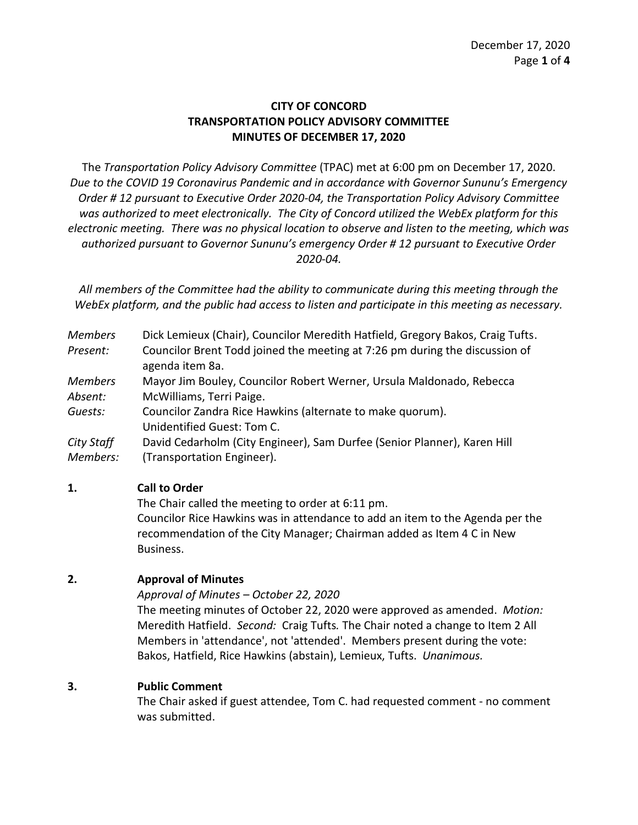# **CITY OF CONCORD TRANSPORTATION POLICY ADVISORY COMMITTEE MINUTES OF DECEMBER 17, 2020**

The *Transportation Policy Advisory Committee* (TPAC) met at 6:00 pm on December 17, 2020. *Due to the COVID 19 Coronavirus Pandemic and in accordance with Governor Sununu's Emergency Order # 12 pursuant to Executive Order 2020-04, the Transportation Policy Advisory Committee was authorized to meet electronically. The City of Concord utilized the WebEx platform for this electronic meeting. There was no physical location to observe and listen to the meeting, which was authorized pursuant to Governor Sununu's emergency Order # 12 pursuant to Executive Order 2020-04.*

*All members of the Committee had the ability to communicate during this meeting through the WebEx platform, and the public had access to listen and participate in this meeting as necessary.*

*Members*  Dick Lemieux (Chair), Councilor Meredith Hatfield, Gregory Bakos, Craig Tufts.

*Present:* Councilor Brent Todd joined the meeting at 7:26 pm during the discussion of agenda item 8a.

- *Members Absent:* Mayor Jim Bouley, Councilor Robert Werner, Ursula Maldonado, Rebecca McWilliams, Terri Paige.
- *Guests:* Councilor Zandra Rice Hawkins (alternate to make quorum). Unidentified Guest: Tom C.
- *City Staff*  David Cedarholm (City Engineer), Sam Durfee (Senior Planner), Karen Hill
- *Members:* (Transportation Engineer).

# **1. Call to Order**

The Chair called the meeting to order at 6:11 pm. Councilor Rice Hawkins was in attendance to add an item to the Agenda per the recommendation of the City Manager; Chairman added as Item 4 C in New Business.

# **2. Approval of Minutes**

*Approval of Minutes – October 22, 2020*

The meeting minutes of October 22, 2020 were approved as amended. *Motion:*  Meredith Hatfield. *Second:* Craig Tufts*.* The Chair noted a change to Item 2 All Members in 'attendance', not 'attended'.Members present during the vote: Bakos, Hatfield, Rice Hawkins (abstain), Lemieux, Tufts. *Unanimous.* 

# **3. Public Comment**

The Chair asked if guest attendee, Tom C. had requested comment - no comment was submitted.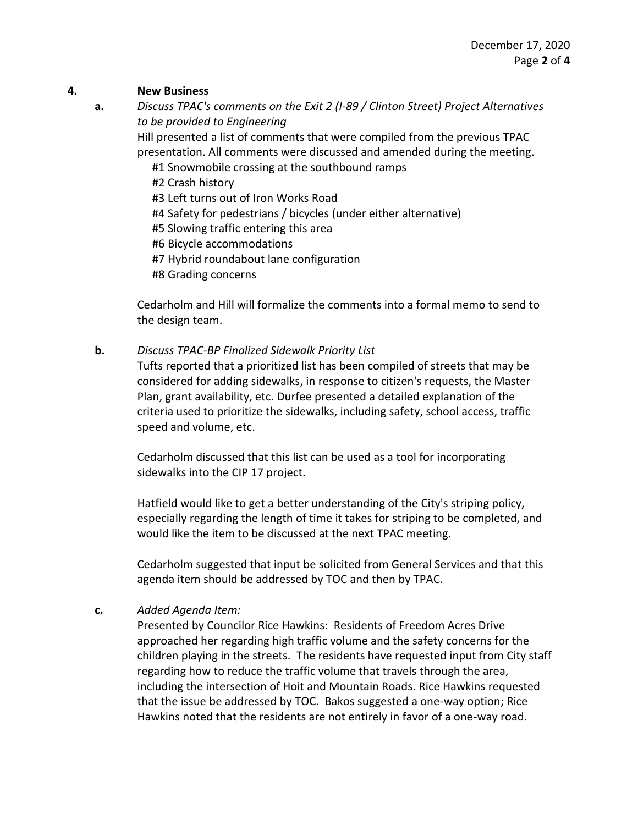#### **4. New Business**

**a.** *Discuss TPAC's comments on the Exit 2 (I-89 / Clinton Street) Project Alternatives to be provided to Engineering*

> Hill presented a list of comments that were compiled from the previous TPAC presentation. All comments were discussed and amended during the meeting.

- #1 Snowmobile crossing at the southbound ramps
- #2 Crash history
- #3 Left turns out of Iron Works Road
- #4 Safety for pedestrians / bicycles (under either alternative)
- #5 Slowing traffic entering this area
- #6 Bicycle accommodations
- #7 Hybrid roundabout lane configuration
- #8 Grading concerns

Cedarholm and Hill will formalize the comments into a formal memo to send to the design team.

### **b.** *Discuss TPAC-BP Finalized Sidewalk Priority List*

Tufts reported that a prioritized list has been compiled of streets that may be considered for adding sidewalks, in response to citizen's requests, the Master Plan, grant availability, etc. Durfee presented a detailed explanation of the criteria used to prioritize the sidewalks, including safety, school access, traffic speed and volume, etc.

Cedarholm discussed that this list can be used as a tool for incorporating sidewalks into the CIP 17 project.

Hatfield would like to get a better understanding of the City's striping policy, especially regarding the length of time it takes for striping to be completed, and would like the item to be discussed at the next TPAC meeting.

Cedarholm suggested that input be solicited from General Services and that this agenda item should be addressed by TOC and then by TPAC.

# **c.** *Added Agenda Item:*

Presented by Councilor Rice Hawkins: Residents of Freedom Acres Drive approached her regarding high traffic volume and the safety concerns for the children playing in the streets. The residents have requested input from City staff regarding how to reduce the traffic volume that travels through the area, including the intersection of Hoit and Mountain Roads. Rice Hawkins requested that the issue be addressed by TOC. Bakos suggested a one-way option; Rice Hawkins noted that the residents are not entirely in favor of a one-way road.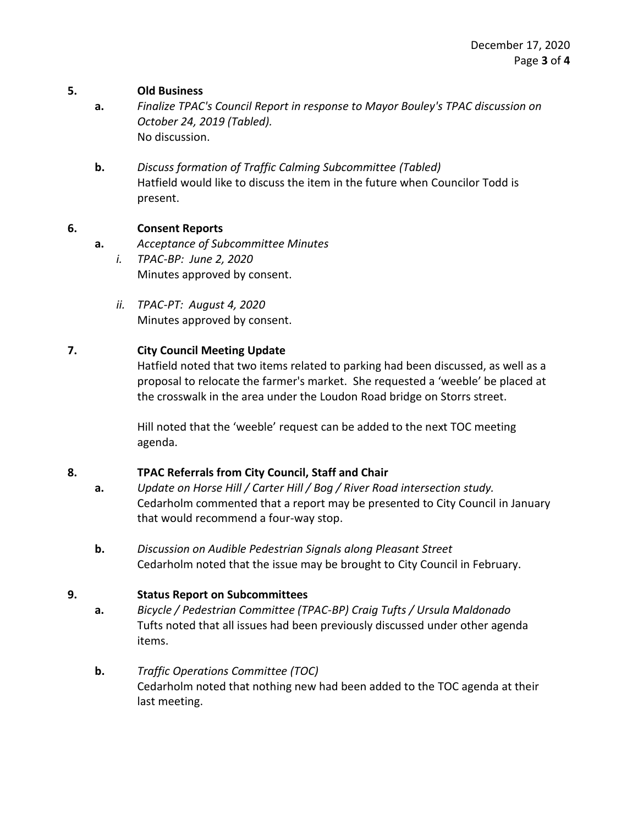### **5. Old Business**

- **a.** *Finalize TPAC's Council Report in response to Mayor Bouley's TPAC discussion on October 24, 2019 (Tabled).*  No discussion.
- **b.** *Discuss formation of Traffic Calming Subcommittee (Tabled)* Hatfield would like to discuss the item in the future when Councilor Todd is present.

### **6. Consent Reports**

- **a.** *Acceptance of Subcommittee Minutes*
	- *i. TPAC-BP: June 2, 2020* Minutes approved by consent.
	- *ii. TPAC-PT: August 4, 2020* Minutes approved by consent.

### **7. City Council Meeting Update**

Hatfield noted that two items related to parking had been discussed, as well as a proposal to relocate the farmer's market. She requested a 'weeble' be placed at the crosswalk in the area under the Loudon Road bridge on Storrs street.

Hill noted that the 'weeble' request can be added to the next TOC meeting agenda.

# **8. TPAC Referrals from City Council, Staff and Chair**

- **a.** *Update on Horse Hill / Carter Hill / Bog / River Road intersection study.*  Cedarholm commented that a report may be presented to City Council in January that would recommend a four-way stop.
- **b.** *Discussion on Audible Pedestrian Signals along Pleasant Street* Cedarholm noted that the issue may be brought to City Council in February.

# **9. Status Report on Subcommittees**

- **a.** *Bicycle / Pedestrian Committee (TPAC-BP) Craig Tufts / Ursula Maldonado* Tufts noted that all issues had been previously discussed under other agenda items.
- **b.** *Traffic Operations Committee (TOC)* Cedarholm noted that nothing new had been added to the TOC agenda at their last meeting.